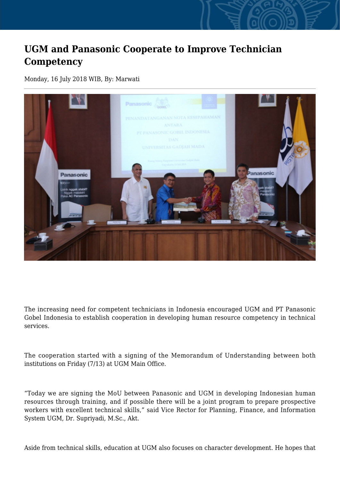## **UGM and Panasonic Cooperate to Improve Technician Competency**

Monday, 16 July 2018 WIB, By: Marwati



The increasing need for competent technicians in Indonesia encouraged UGM and PT Panasonic Gobel Indonesia to establish cooperation in developing human resource competency in technical services.

The cooperation started with a signing of the Memorandum of Understanding between both institutions on Friday (7/13) at UGM Main Office.

"Today we are signing the MoU between Panasonic and UGM in developing Indonesian human resources through training, and if possible there will be a joint program to prepare prospective workers with excellent technical skills," said Vice Rector for Planning, Finance, and Information System UGM, Dr. Supriyadi, M.Sc., Akt.

Aside from technical skills, education at UGM also focuses on character development. He hopes that